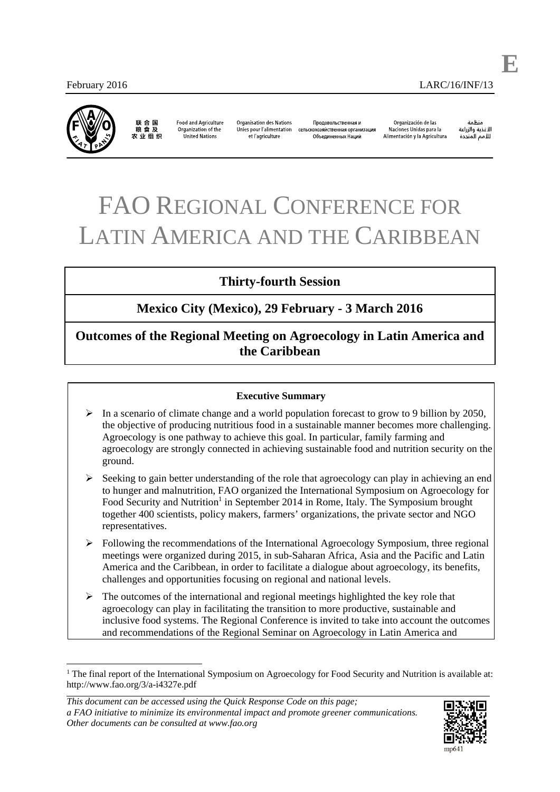

联合国<br>粮食及 农 业 组 织

**Food and Agriculture** Organization of the **United Nations** 

Organisation des Nations Unies pour l'alimentation et l'agriculture

Продоводьственная и сельскохозяйственная организация Объелиненных Наций

Organización de las Naciones Unidas para la Alimentación y la Agricultura

änhin الأغذية والزراعة للأمم المتحدة **E**

# FAO REGIONAL CONFERENCE FOR LATIN AMERICA AND THE CARIBBEAN

## **Thirty-fourth Session**

## **Mexico City (Mexico), 29 February - 3 March 2016**

## **Outcomes of the Regional Meeting on Agroecology in Latin America and the Caribbean**

#### **Executive Summary**

- $\triangleright$  In a scenario of climate change and a world population forecast to grow to 9 billion by 2050, the objective of producing nutritious food in a sustainable manner becomes more challenging. Agroecology is one pathway to achieve this goal. In particular, family farming and agroecology are strongly connected in achieving sustainable food and nutrition security on the ground.
- $\triangleright$  Seeking to gain better understanding of the role that agroecology can play in achieving an end to hunger and malnutrition, FAO organized the International Symposium on Agroecology for Food Security and Nutrition<sup>1</sup> in September 2014 in Rome, Italy. The Symposium brought together 400 scientists, policy makers, farmers' organizations, the private sector and NGO representatives.
- $\triangleright$  Following the recommendations of the International Agroecology Symposium, three regional meetings were organized during 2015, in sub-Saharan Africa, Asia and the Pacific and Latin America and the Caribbean, in order to facilitate a dialogue about agroecology, its benefits, challenges and opportunities focusing on regional and national levels.
- $\triangleright$  The outcomes of the international and regional meetings highlighted the key role that agroecology can play in facilitating the transition to more productive, sustainable and inclusive food systems. The Regional Conference is invited to take into account the outcomes and recommendations of the Regional Seminar on Agroecology in Latin America and

*This document can be accessed using the Quick Response Code on this page; a FAO initiative to minimize its environmental impact and promote greener communications. Other documents can be consulted at www.fao.org* 



<sup>&</sup>lt;sup>1</sup> The final report of the International Symposium on Agroecology for Food Security and Nutrition is available at: http://www.fao.org/3/a-i4327e.pdf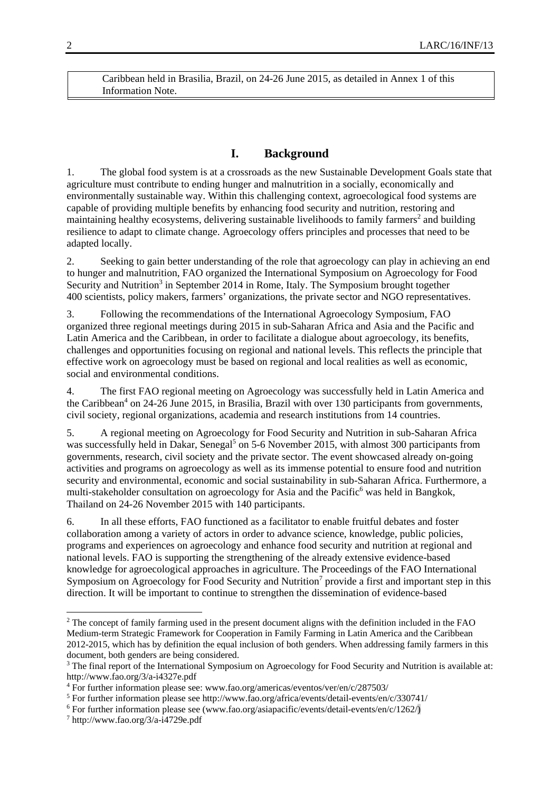Caribbean held in Brasilia, Brazil, on 24-26 June 2015, as detailed in Annex 1 of this Information Note.

#### **I. Background**

1. The global food system is at a crossroads as the new Sustainable Development Goals state that agriculture must contribute to ending hunger and malnutrition in a socially, economically and environmentally sustainable way. Within this challenging context, agroecological food systems are capable of providing multiple benefits by enhancing food security and nutrition, restoring and maintaining healthy ecosystems, delivering sustainable livelihoods to family farmers<sup>2</sup> and building resilience to adapt to climate change. Agroecology offers principles and processes that need to be adapted locally.

2. Seeking to gain better understanding of the role that agroecology can play in achieving an end to hunger and malnutrition, FAO organized the International Symposium on Agroecology for Food Security and Nutrition<sup>3</sup> in September 2014 in Rome, Italy. The Symposium brought together 400 scientists, policy makers, farmers' organizations, the private sector and NGO representatives.

3. Following the recommendations of the International Agroecology Symposium, FAO organized three regional meetings during 2015 in sub-Saharan Africa and Asia and the Pacific and Latin America and the Caribbean, in order to facilitate a dialogue about agroecology, its benefits, challenges and opportunities focusing on regional and national levels. This reflects the principle that effective work on agroecology must be based on regional and local realities as well as economic, social and environmental conditions.

4. The first FAO regional meeting on Agroecology was successfully held in Latin America and the Caribbean<sup>4</sup> on 24-26 June 2015, in Brasilia, Brazil with over 130 participants from governments, civil society, regional organizations, academia and research institutions from 14 countries.

5. A regional meeting on Agroecology for Food Security and Nutrition in sub-Saharan Africa was successfully held in Dakar, Senegal<sup>5</sup> on 5-6 November 2015, with almost 300 participants from governments, research, civil society and the private sector. The event showcased already on-going activities and programs on agroecology as well as its immense potential to ensure food and nutrition security and environmental, economic and social sustainability in sub-Saharan Africa. Furthermore, a multi-stakeholder consultation on agroecology for Asia and the Pacific<sup>6</sup> was held in Bangkok, Thailand on 24-26 November 2015 with 140 participants.

6. In all these efforts, FAO functioned as a facilitator to enable fruitful debates and foster collaboration among a variety of actors in order to advance science, knowledge, public policies, programs and experiences on agroecology and enhance food security and nutrition at regional and national levels. FAO is supporting the strengthening of the already extensive evidence-based knowledge for agroecological approaches in agriculture. The Proceedings of the FAO International Symposium on Agroecology for Food Security and Nutrition<sup>7</sup> provide a first and important step in this direction. It will be important to continue to strengthen the dissemination of evidence-based

-

<sup>&</sup>lt;sup>2</sup> The concept of family farming used in the present document aligns with the definition included in the FAO Medium-term Strategic Framework for Cooperation in Family Farming in Latin America and the Caribbean 2012-2015, which has by definition the equal inclusion of both genders. When addressing family farmers in this document, both genders are being considered.

<sup>&</sup>lt;sup>3</sup> The final report of the International Symposium on Agroecology for Food Security and Nutrition is available at: http://www.fao.org/3/a-i4327e.pdf

<sup>&</sup>lt;sup>4</sup> For further information please see: www.fao.org/americas/eventos/ver/en/c/287503/<br><sup>5</sup> For further information please see http://www.fao.org/africa/events/detail-events/en/

For further information please see http://www.fao.org/africa/events/detail-events/en/c/330741/ 6

<sup>&</sup>lt;sup>6</sup> For further information please see (www.fao.org/asiapacific/events/detail-events/en/c/1262/)

 $\frac{7 \text{ http://www.fao.org/3/a-i4729e.pdf}}{2}$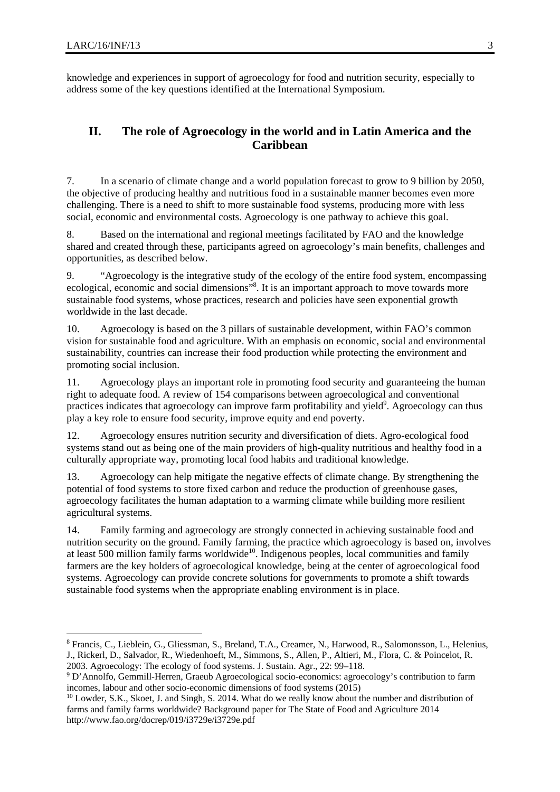1

knowledge and experiences in support of agroecology for food and nutrition security, especially to address some of the key questions identified at the International Symposium.

### **II. The role of Agroecology in the world and in Latin America and the Caribbean**

7. In a scenario of climate change and a world population forecast to grow to 9 billion by 2050, the objective of producing healthy and nutritious food in a sustainable manner becomes even more challenging. There is a need to shift to more sustainable food systems, producing more with less social, economic and environmental costs. Agroecology is one pathway to achieve this goal.

8. Based on the international and regional meetings facilitated by FAO and the knowledge shared and created through these, participants agreed on agroecology's main benefits, challenges and opportunities, as described below.

9. "Agroecology is the integrative study of the ecology of the entire food system, encompassing ecological, economic and social dimensions"<sup>8</sup>. It is an important approach to move towards more sustainable food systems, whose practices, research and policies have seen exponential growth worldwide in the last decade.

10. Agroecology is based on the 3 pillars of sustainable development, within FAO's common vision for sustainable food and agriculture. With an emphasis on economic, social and environmental sustainability, countries can increase their food production while protecting the environment and promoting social inclusion.

11. Agroecology plays an important role in promoting food security and guaranteeing the human right to adequate food. A review of 154 comparisons between agroecological and conventional practices indicates that agroecology can improve farm profitability and yield<sup>9</sup>. Agroecology can thus play a key role to ensure food security, improve equity and end poverty.

12. Agroecology ensures nutrition security and diversification of diets. Agro-ecological food systems stand out as being one of the main providers of high-quality nutritious and healthy food in a culturally appropriate way, promoting local food habits and traditional knowledge.

13. Agroecology can help mitigate the negative effects of climate change. By strengthening the potential of food systems to store fixed carbon and reduce the production of greenhouse gases, agroecology facilitates the human adaptation to a warming climate while building more resilient agricultural systems.

14. Family farming and agroecology are strongly connected in achieving sustainable food and nutrition security on the ground. Family farming, the practice which agroecology is based on, involves at least 500 million family farms worldwide<sup>10</sup>. Indigenous peoples, local communities and family farmers are the key holders of agroecological knowledge, being at the center of agroecological food systems. Agroecology can provide concrete solutions for governments to promote a shift towards sustainable food systems when the appropriate enabling environment is in place.

<sup>8</sup> Francis, C., Lieblein, G., Gliessman, S., Breland, T.A., Creamer, N., Harwood, R., Salomonsson, L., Helenius, J., Rickerl, D., Salvador, R., Wiedenhoeft, M., Simmons, S., Allen, P., Altieri, M., Flora, C. & Poincelot, R. 2003. Agroecology: The ecology of food systems. J. Sustain. Agr., 22: 99–118.

<sup>&</sup>lt;sup>9</sup> D'Annolfo, Gemmill-Herren, Graeub Agroecological socio-economics: agroecology's contribution to farm incomes, labour and other socio-economic dimensions of food systems (2015)

<sup>&</sup>lt;sup>10</sup> Lowder, S.K., Skoet, J. and Singh, S. 2014. What do we really know about the number and distribution of farms and family farms worldwide? Background paper for The State of Food and Agriculture 2014 http://www.fao.org/docrep/019/i3729e/i3729e.pdf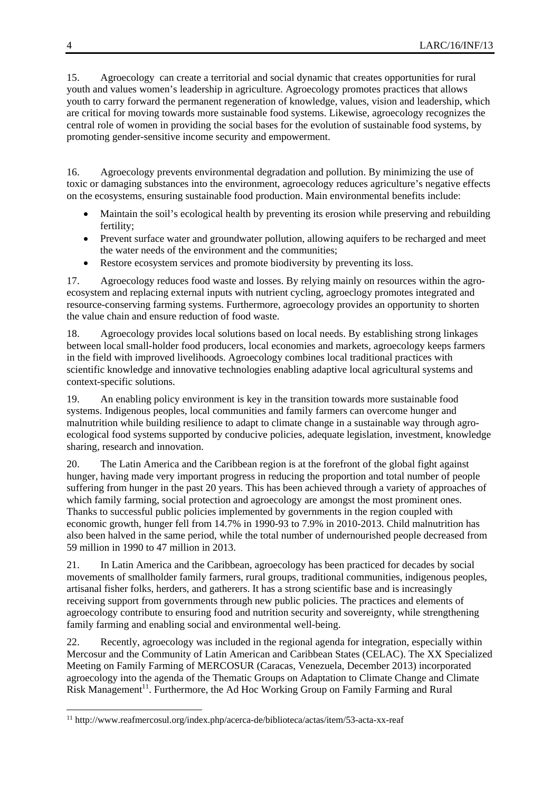15. Agroecology can create a territorial and social dynamic that creates opportunities for rural youth and values women's leadership in agriculture. Agroecology promotes practices that allows youth to carry forward the permanent regeneration of knowledge, values, vision and leadership, which are critical for moving towards more sustainable food systems. Likewise, agroecology recognizes the central role of women in providing the social bases for the evolution of sustainable food systems, by promoting gender-sensitive income security and empowerment.

16. Agroecology prevents environmental degradation and pollution. By minimizing the use of toxic or damaging substances into the environment, agroecology reduces agriculture's negative effects on the ecosystems, ensuring sustainable food production. Main environmental benefits include:

- Maintain the soil's ecological health by preventing its erosion while preserving and rebuilding fertility;
- Prevent surface water and groundwater pollution, allowing aquifers to be recharged and meet the water needs of the environment and the communities;
- Restore ecosystem services and promote biodiversity by preventing its loss.

17. Agroecology reduces food waste and losses. By relying mainly on resources within the agroecosystem and replacing external inputs with nutrient cycling, agroeclogy promotes integrated and resource-conserving farming systems. Furthermore, agroecology provides an opportunity to shorten the value chain and ensure reduction of food waste.

18. Agroecology provides local solutions based on local needs. By establishing strong linkages between local small-holder food producers, local economies and markets, agroecology keeps farmers in the field with improved livelihoods. Agroecology combines local traditional practices with scientific knowledge and innovative technologies enabling adaptive local agricultural systems and context-specific solutions.

19. An enabling policy environment is key in the transition towards more sustainable food systems. Indigenous peoples, local communities and family farmers can overcome hunger and malnutrition while building resilience to adapt to climate change in a sustainable way through agroecological food systems supported by conducive policies, adequate legislation, investment, knowledge sharing, research and innovation.

20. The Latin America and the Caribbean region is at the forefront of the global fight against hunger, having made very important progress in reducing the proportion and total number of people suffering from hunger in the past 20 years. This has been achieved through a variety of approaches of which family farming, social protection and agroecology are amongst the most prominent ones. Thanks to successful public policies implemented by governments in the region coupled with economic growth, hunger fell from 14.7% in 1990-93 to 7.9% in 2010-2013. Child malnutrition has also been halved in the same period, while the total number of undernourished people decreased from 59 million in 1990 to 47 million in 2013.

21. In Latin America and the Caribbean, agroecology has been practiced for decades by social movements of smallholder family farmers, rural groups, traditional communities, indigenous peoples, artisanal fisher folks, herders, and gatherers. It has a strong scientific base and is increasingly receiving support from governments through new public policies. The practices and elements of agroecology contribute to ensuring food and nutrition security and sovereignty, while strengthening family farming and enabling social and environmental well-being.

22. Recently, agroecology was included in the regional agenda for integration, especially within Mercosur and the Community of Latin American and Caribbean States (CELAC). The XX Specialized Meeting on Family Farming of MERCOSUR (Caracas, Venezuela, December 2013) incorporated agroecology into the agenda of the Thematic Groups on Adaptation to Climate Change and Climate Risk Management<sup>11</sup>. Furthermore, the Ad Hoc Working Group on Family Farming and Rural

-

<sup>11</sup> http://www.reafmercosul.org/index.php/acerca-de/biblioteca/actas/item/53-acta-xx-reaf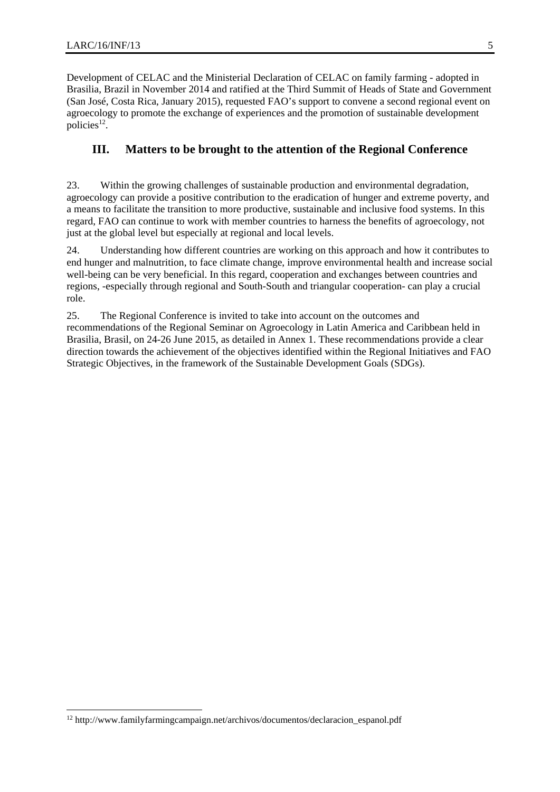-

Development of CELAC and the Ministerial Declaration of CELAC on family farming - adopted in Brasilia, Brazil in November 2014 and ratified at the Third Summit of Heads of State and Government (San José, Costa Rica, January 2015), requested FAO's support to convene a second regional event on agroecology to promote the exchange of experiences and the promotion of sustainable development policies $12$ .

#### **III. Matters to be brought to the attention of the Regional Conference**

23. Within the growing challenges of sustainable production and environmental degradation, agroecology can provide a positive contribution to the eradication of hunger and extreme poverty, and a means to facilitate the transition to more productive, sustainable and inclusive food systems. In this regard, FAO can continue to work with member countries to harness the benefits of agroecology, not just at the global level but especially at regional and local levels.

24. Understanding how different countries are working on this approach and how it contributes to end hunger and malnutrition, to face climate change, improve environmental health and increase social well-being can be very beneficial. In this regard, cooperation and exchanges between countries and regions, -especially through regional and South-South and triangular cooperation- can play a crucial role.

25. The Regional Conference is invited to take into account on the outcomes and recommendations of the Regional Seminar on Agroecology in Latin America and Caribbean held in Brasilia, Brasil, on 24-26 June 2015, as detailed in Annex 1. These recommendations provide a clear direction towards the achievement of the objectives identified within the Regional Initiatives and FAO Strategic Objectives, in the framework of the Sustainable Development Goals (SDGs).

<sup>12</sup> http://www.familyfarmingcampaign.net/archivos/documentos/declaracion\_espanol.pdf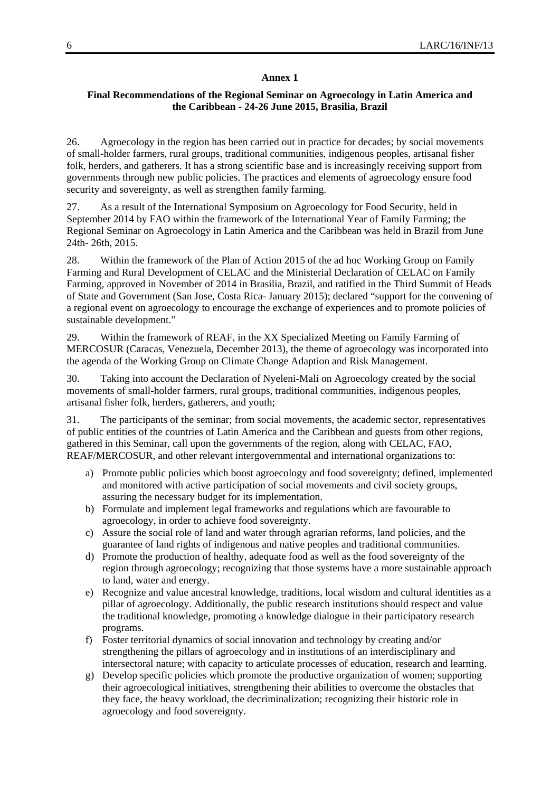#### **Annex 1**

#### **Final Recommendations of the Regional Seminar on Agroecology in Latin America and the Caribbean - 24-26 June 2015, Brasilia, Brazil**

26. Agroecology in the region has been carried out in practice for decades; by social movements of small-holder farmers, rural groups, traditional communities, indigenous peoples, artisanal fisher folk, herders, and gatherers. It has a strong scientific base and is increasingly receiving support from governments through new public policies. The practices and elements of agroecology ensure food security and sovereignty, as well as strengthen family farming.

27. As a result of the International Symposium on Agroecology for Food Security, held in September 2014 by FAO within the framework of the International Year of Family Farming; the Regional Seminar on Agroecology in Latin America and the Caribbean was held in Brazil from June 24th- 26th, 2015.

28. Within the framework of the Plan of Action 2015 of the ad hoc Working Group on Family Farming and Rural Development of CELAC and the Ministerial Declaration of CELAC on Family Farming, approved in November of 2014 in Brasilia, Brazil, and ratified in the Third Summit of Heads of State and Government (San Jose, Costa Rica- January 2015); declared "support for the convening of a regional event on agroecology to encourage the exchange of experiences and to promote policies of sustainable development."

29. Within the framework of REAF, in the XX Specialized Meeting on Family Farming of MERCOSUR (Caracas, Venezuela, December 2013), the theme of agroecology was incorporated into the agenda of the Working Group on Climate Change Adaption and Risk Management.

30. Taking into account the Declaration of Nyeleni-Mali on Agroecology created by the social movements of small-holder farmers, rural groups, traditional communities, indigenous peoples, artisanal fisher folk, herders, gatherers, and youth;

31. The participants of the seminar; from social movements, the academic sector, representatives of public entities of the countries of Latin America and the Caribbean and guests from other regions, gathered in this Seminar, call upon the governments of the region, along with CELAC, FAO, REAF/MERCOSUR, and other relevant intergovernmental and international organizations to:

- a) Promote public policies which boost agroecology and food sovereignty; defined, implemented and monitored with active participation of social movements and civil society groups, assuring the necessary budget for its implementation.
- b) Formulate and implement legal frameworks and regulations which are favourable to agroecology, in order to achieve food sovereignty.
- c) Assure the social role of land and water through agrarian reforms, land policies, and the guarantee of land rights of indigenous and native peoples and traditional communities.
- d) Promote the production of healthy, adequate food as well as the food sovereignty of the region through agroecology; recognizing that those systems have a more sustainable approach to land, water and energy.
- e) Recognize and value ancestral knowledge, traditions, local wisdom and cultural identities as a pillar of agroecology. Additionally, the public research institutions should respect and value the traditional knowledge, promoting a knowledge dialogue in their participatory research programs.
- f) Foster territorial dynamics of social innovation and technology by creating and/or strengthening the pillars of agroecology and in institutions of an interdisciplinary and intersectoral nature; with capacity to articulate processes of education, research and learning.
- g) Develop specific policies which promote the productive organization of women; supporting their agroecological initiatives, strengthening their abilities to overcome the obstacles that they face, the heavy workload, the decriminalization; recognizing their historic role in agroecology and food sovereignty.